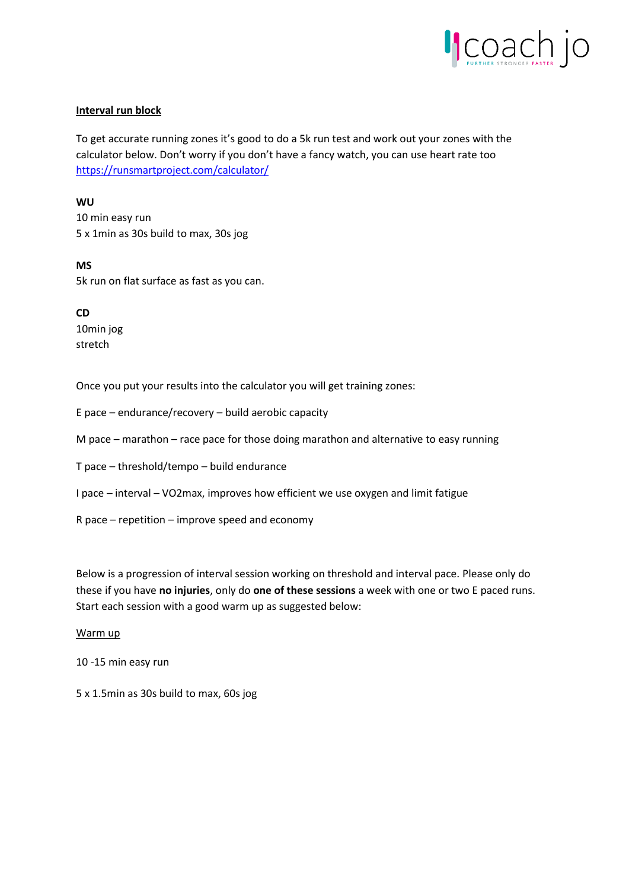

## **Interval run block**

To get accurate running zones it's good to do a 5k run test and work out your zones with the calculator below. Don't worry if you don't have a fancy watch, you can use heart rate too <https://runsmartproject.com/calculator/>

**WU**

10 min easy run 5 x 1min as 30s build to max, 30s jog

**MS** 5k run on flat surface as fast as you can.

**CD** 10min jog stretch

Once you put your results into the calculator you will get training zones:

E pace – endurance/recovery – build aerobic capacity

M pace – marathon – race pace for those doing marathon and alternative to easy running

T pace – threshold/tempo – build endurance

I pace – interval – VO2max, improves how efficient we use oxygen and limit fatigue

R pace – repetition – improve speed and economy

Below is a progression of interval session working on threshold and interval pace. Please only do these if you have **no injuries**, only do **one of these sessions** a week with one or two E paced runs. Start each session with a good warm up as suggested below:

Warm up

10 -15 min easy run

5 x 1.5min as 30s build to max, 60s jog